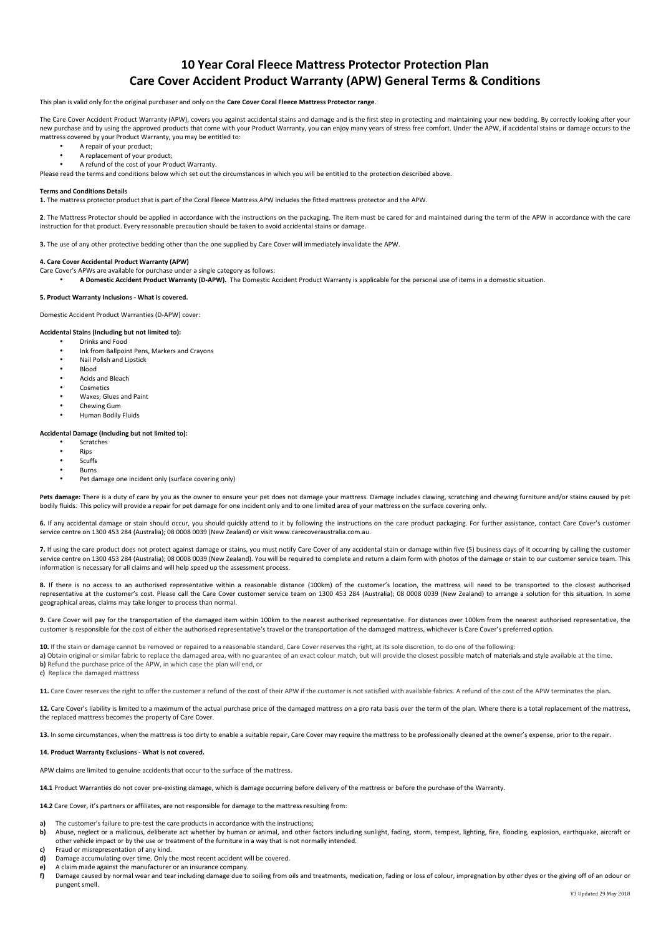# **10 Year Coral Fleece Mattress Protector Protection Plan Care Cover Accident Product Warranty (APW) General Terms & Conditions**

This plan is valid only for the original purchaser and only on the **Care Cover Coral Fleece Mattress Protector range**.

The Care Cover Accident Product Warranty (APW), covers you against accidental stains and damage and is the first step in protecting and maintaining your new bedding. By correctly looking after your new purchase and by using the approved products that come with your Product Warranty, you can enjoy many years of stress free comfort. Under the APW, if accidental stains or damage occurs to the mattress covered by your Product Warranty, you may be entitled to

- A repair of your product:
- A replacement of your product;
- A refund of the cost of your Product Warranty.

Please read the terms and conditions below which set out the circumstances in which you will be entitled to the protection described above.

#### **Terms and Conditions Details**

1. The mattress protector product that is part of the Coral Fleece Mattress APW includes the fitted mattress protector and the APW.

2. The Mattress Protector should be applied in accordance with the instructions on the packaging. The item must be cared for and maintained during the term of the APW in accordance with the care instruction for that product. Every reasonable precaution should be taken to avoid accidental stains or damage.

**3.** The use of any other protective bedding other than the one supplied by Care Cover will immediately invalidate the APW.

#### **4. Care Cover Accidental Product Warranty (APW)**

- Care Cover's APWs are available for purchase under a single category as follows:
	- A Domestic Accident Product Warranty (D-APW). The Domestic Accident Product Warranty is applicable for the personal use of items in a domestic situation.

### **5. Product Warranty Inclusions - What is covered.**

Domestic Accident Product Warranties (D-APW) cover:

# Accidental Stains (Including but not limited to):

- Drinks and Food
	- Ink from Ballpoint Pens, Markers and Crayons
	- Nail Polish and Lipstick • Blood
	- Acids and Bleach
	- Cosmetics
	- Waxes, Glues and Paint
	- Chewing Gum
	- Human Bodily Fluids

## Accidental Damage (Including but not limited to):

- **Scratches**
- Rips • Scuffs
- Burns
- Pet damage one incident only (surface covering only)

Pets damage: There is a duty of care by you as the owner to ensure your pet does not damage your mattress. Damage includes clawing, scratching and chewing furniture and/or stains caused by pet bodily fluids. This policy will provide a repair for pet damage for one incident only and to one limited area of your mattress on the surface covering only.

6. If any accidental damage or stain should occur, you should quickly attend to it by following the instructions on the care product packaging. For further assistance, contact Care Cover's customer service centre on 1300 453 284 (Australia); 08 0008 0039 (New Zealand) or visit www.carecoveraustralia.com.au.

**7.** If using the care product does not protect against damage or stains, you must notify Care Cover of any accidental stain or damage within five (5) business days of it occurring by calling the customer service centre on 1300 453 284 (Australia); 08 0008 0039 (New Zealand). You will be required to complete and return a claim form with photos of the damage or stain to our customer service team. This information is necessary for all claims and will help speed up the assessment process

8. If there is no access to an authorised representative within a reasonable distance (100km) of the customer's location, the mattress will need to be transported to the closest authorised representative at the customer's cost. Please call the Care Cover customer service team on 1300 453 284 (Australia); 08 0008 0039 (New Zealand) to arrange a solution for this situation. In some geographical areas, claims may take longer to process than normal.

9. Care Cover will pay for the transportation of the damaged item within 100km to the nearest authorised representative. For distances over 100km from the nearest authorised representative, the customer is responsible for the cost of either the authorised representative's travel or the transportation of the damaged mattress, whichever is Care Cover's preferred option.

**10.** If the stain or damage cannot be removed or repaired to a reasonable standard. Care Cover reserves the right, at its sole discretion, to do one of the following: a) Obtain original or similar fabric to replace the damaged area, with no guarantee of an exact colour match, but will provide the closest possible match of materials and style available at the time. **b)** Refund the purchase price of the APW, in which case the plan will end, or **c)** Replace the damaged mattress

11. Care Cover reserves the right to offer the customer a refund of the cost of their APW if the customer is not satisfied with available fabrics. A refund of the cost of the APW terminates the nlan.

12. Care Cover's liability is limited to a maximum of the actual purchase price of the damaged mattress on a pro rata basis over the term of the plan. Where there is a total replacement of the mattress, the replaced mattress becomes the property of Care Cover.

13. In some circumstances, when the mattress is too dirty to enable a suitable repair, Care Cover may require the mattress to be professionally cleaned at the owner's expense, prior to the repair.

## **14. Product Warranty Exclusions - What is not covered.**

APW claims are limited to genuine accidents that occur to the surface of the mattress.

**14.1** Product Warranties do not cover pre-existing damage, which is damage occurring before delivery of the mattress or before the purchase of the Warranty.

**14.2** Care Cover, it's partners or affiliates, are not responsible for damage to the mattress resulting from:

- The customer's failure to pre-test the care products in accordance with the instructions:
- b) Abuse, neglect or a malicious, deliberate act whether by human or animal, and other factors including sunlight, fading, storm, tempest, lighting, fire, flooding, explosion, earthquake, aircraft or other vehicle impact or by the use or treatment of the furniture in a way that is not normally intended.
- **c)** Fraud or misrepresentation of any kind.
- **d)** Damage accumulating over time. Only the most recent accident will be covered.
- **e)** A claim made against the manufacturer or an insurance company.
- f) Damage caused by normal wear and tear including damage due to soiling from oils and treatments, medication, fading or loss of colour, impregnation by other dyes or the giving off of an odour or pungent smell.